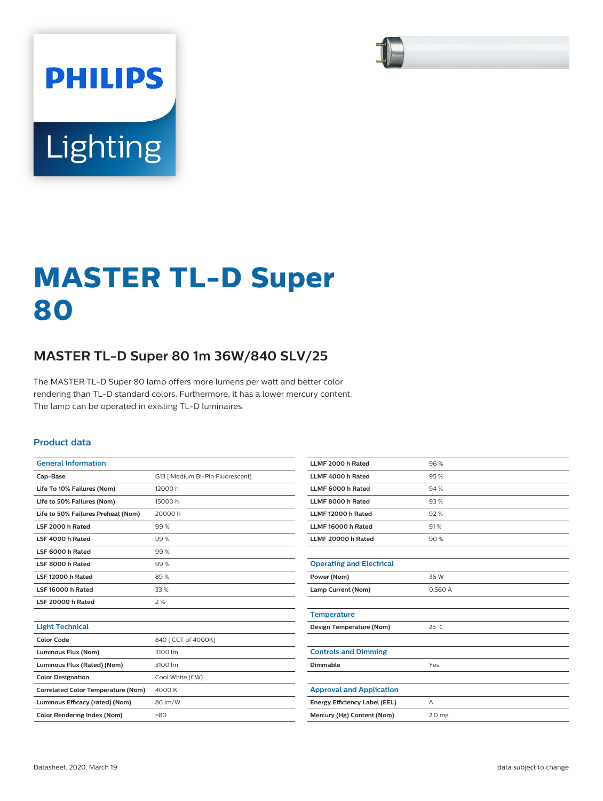

# Lighting

**PHILIPS** 

# **MASTER TL-D Super 80**

# **MASTER TL-D Super 80 1m 36W/840 SLV/25**

The MASTER TL-D Super 80 lamp offers more lumens per watt and better color rendering than TL-D standard colors. Furthermore, it has a lower mercury content. The lamp can be operated in existing TL-D luminaires.

#### **Product data**

| <b>General Information</b>                                                                                  |                                                                                                                                                                                                                                                                                                                                                                                                                                                                                                                            |  |  |  |
|-------------------------------------------------------------------------------------------------------------|----------------------------------------------------------------------------------------------------------------------------------------------------------------------------------------------------------------------------------------------------------------------------------------------------------------------------------------------------------------------------------------------------------------------------------------------------------------------------------------------------------------------------|--|--|--|
| Cap-Base                                                                                                    | G13 [ Medium Bi-Pin Fluorescent]                                                                                                                                                                                                                                                                                                                                                                                                                                                                                           |  |  |  |
| Life To 10% Failures (Nom)                                                                                  | 12000 h                                                                                                                                                                                                                                                                                                                                                                                                                                                                                                                    |  |  |  |
| Life to 50% Failures (Nom)                                                                                  | 15000 h                                                                                                                                                                                                                                                                                                                                                                                                                                                                                                                    |  |  |  |
| Life to 50% Failures Preheat (Nom)                                                                          | 20000 h                                                                                                                                                                                                                                                                                                                                                                                                                                                                                                                    |  |  |  |
| LSF 2000 h Rated                                                                                            | 99%                                                                                                                                                                                                                                                                                                                                                                                                                                                                                                                        |  |  |  |
| LSF 4000 h Rated                                                                                            | 99%                                                                                                                                                                                                                                                                                                                                                                                                                                                                                                                        |  |  |  |
| LSF 6000 h Rated                                                                                            | 99%                                                                                                                                                                                                                                                                                                                                                                                                                                                                                                                        |  |  |  |
| LSF 8000 h Rated                                                                                            | 99%                                                                                                                                                                                                                                                                                                                                                                                                                                                                                                                        |  |  |  |
| LSF 12000 h Rated                                                                                           | 89%                                                                                                                                                                                                                                                                                                                                                                                                                                                                                                                        |  |  |  |
| LSF 16000 h Rated                                                                                           | 33 %                                                                                                                                                                                                                                                                                                                                                                                                                                                                                                                       |  |  |  |
| LSF 20000 h Rated                                                                                           | 2%                                                                                                                                                                                                                                                                                                                                                                                                                                                                                                                         |  |  |  |
|                                                                                                             |                                                                                                                                                                                                                                                                                                                                                                                                                                                                                                                            |  |  |  |
| <b>Light Technical</b>                                                                                      |                                                                                                                                                                                                                                                                                                                                                                                                                                                                                                                            |  |  |  |
| <b>Color Code</b>                                                                                           | 840 [ CCT of 4000K]                                                                                                                                                                                                                                                                                                                                                                                                                                                                                                        |  |  |  |
| Luminous Flux (Nom)                                                                                         | 3100 lm                                                                                                                                                                                                                                                                                                                                                                                                                                                                                                                    |  |  |  |
| $\mathbf{I}$ constants and $\mathbf{F}$ and $\mathbf{F}$ and $\mathbf{F}$ and $\mathbf{F}$ and $\mathbf{F}$ | $\mathcal{L}^{\bullet}(\mathcal{L}^{\bullet}, \mathcal{L}^{\bullet}, \mathcal{L}^{\bullet}, \mathcal{L}^{\bullet}, \mathcal{L}^{\bullet}, \mathcal{L}^{\bullet}, \mathcal{L}^{\bullet}, \mathcal{L}^{\bullet}, \mathcal{L}^{\bullet}, \mathcal{L}^{\bullet}, \mathcal{L}^{\bullet}, \mathcal{L}^{\bullet}, \mathcal{L}^{\bullet}, \mathcal{L}^{\bullet}, \mathcal{L}^{\bullet}, \mathcal{L}^{\bullet}, \mathcal{L}^{\bullet}, \mathcal{L}^{\bullet}, \mathcal{L}^{\bullet}, \mathcal{L}^{\bullet}, \mathcal{L}^{\bullet},$ |  |  |  |

| LLMF 4000 h Rated               | 95%               |
|---------------------------------|-------------------|
| LLMF 6000 h Rated               | 94%               |
| LLMF 8000 h Rated               | 93%               |
| LLMF 12000 h Rated              | 92%               |
| LLMF 16000 h Rated              | 91%               |
| LLMF 20000 h Rated              | 90%               |
|                                 |                   |
| <b>Operating and Electrical</b> |                   |
| Power (Nom)                     | 36 W              |
| Lamp Current (Nom)              | 0.560 A           |
|                                 |                   |
| <b>Temperature</b>              |                   |
| Design Temperature (Nom)        | $25^{\circ}$ C    |
|                                 |                   |
| <b>Controls and Dimming</b>     |                   |
| Dimmable                        | Yes               |
|                                 |                   |
| <b>Approval and Application</b> |                   |
| Energy Efficiency Label (EEL)   | А                 |
| Mercury (Hg) Content (Nom)      | 2.0 <sub>mg</sub> |

**LLMF 2000 h Rated** 96 %

| Color Code                                | 840 [ CCT of 4000K] |  |  |
|-------------------------------------------|---------------------|--|--|
| Luminous Flux (Nom)                       | 3100 lm             |  |  |
| Luminous Flux (Rated) (Nom)               | 3100 lm             |  |  |
| <b>Color Designation</b>                  | Cool White (CW)     |  |  |
| <b>Correlated Color Temperature (Nom)</b> | 4000 K              |  |  |
| Luminous Efficacy (rated) (Nom)           | 86 lm/W             |  |  |
| <b>Color Rendering Index (Nom)</b>        | >80                 |  |  |
|                                           |                     |  |  |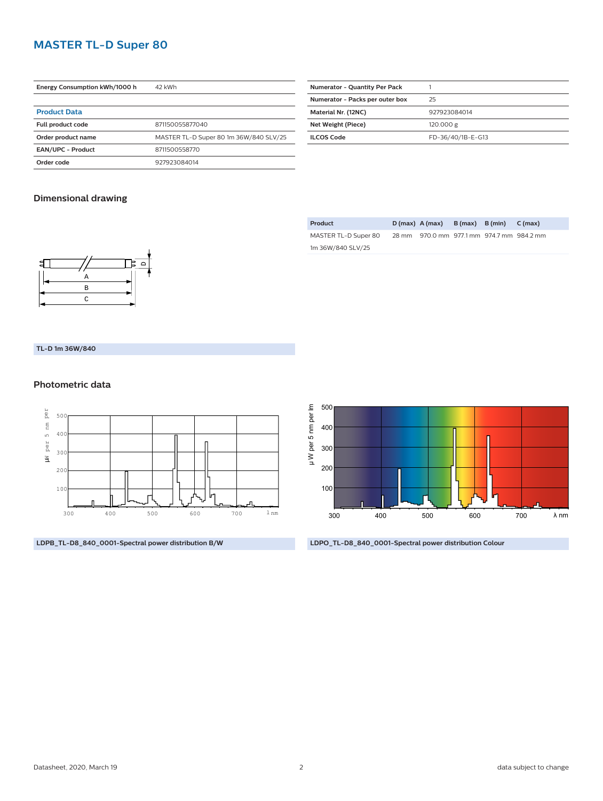# **MASTER TL-D Super 80**

| Energy Consumption kWh/1000 h | 42 kWh                                 |  |  |
|-------------------------------|----------------------------------------|--|--|
|                               |                                        |  |  |
| <b>Product Data</b>           |                                        |  |  |
| Full product code             | 871150055877040                        |  |  |
| Order product name            | MASTER TL-D Super 80 1m 36W/840 SLV/25 |  |  |
| <b>EAN/UPC - Product</b>      | 8711500558770                          |  |  |
| Order code                    | 927923084014                           |  |  |

| <b>Numerator - Quantity Per Pack</b> |                   |
|--------------------------------------|-------------------|
| Numerator - Packs per outer box      | 25                |
| Material Nr. (12NC)                  | 927923084014      |
| Net Weight (Piece)                   | 120.000 g         |
| ILCOS Code                           | FD-36/40/1B-E-G13 |
|                                      |                   |

### **Dimensional drawing**

| Product              | $D(max)$ A (max)                          | $B(max)$ $B(min)$ $C(max)$ |  |
|----------------------|-------------------------------------------|----------------------------|--|
| MASTER TL-D Super 80 | 28 mm 970.0 mm 977.1 mm 974.7 mm 984.2 mm |                            |  |
| 1m 36W/840 SLV/25    |                                           |                            |  |



**TL-D 1m 36W/840**

#### **Photometric data**



**LDPB\_TL-D8\_840\_0001-Spectral power distribution B/W**



**LDPO\_TL-D8\_840\_0001-Spectral power distribution Colour**